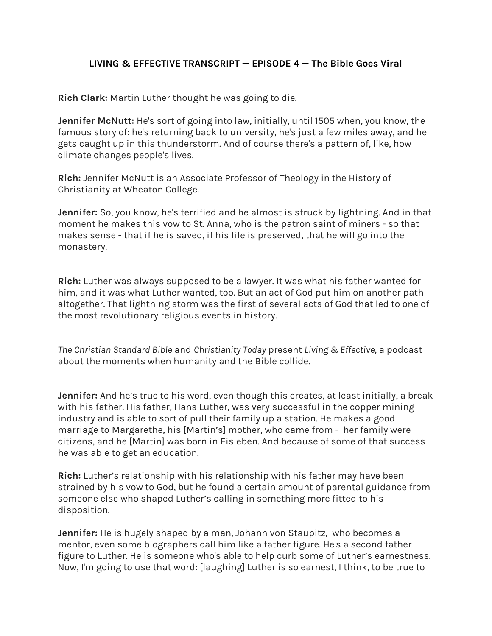## **LIVING & EFFECTIVE TRANSCRIPT — EPISODE 4 — The Bible Goes Viral**

**Rich Clark:** Martin Luther thought he was going to die.

**Jennifer McNutt:** He's sort of going into law, initially, until 1505 when, you know, the famous story of: he's returning back to university, he's just a few miles away, and he gets caught up in this thunderstorm. And of course there's a pattern of, like, how climate changes people's lives.

**Rich:** Jennifer McNutt is an Associate Professor of Theology in the History of Christianity at Wheaton College.

**Jennifer:** So, you know, he's terrified and he almost is struck by lightning. And in that moment he makes this vow to St. Anna, who is the patron saint of miners - so that makes sense - that if he is saved, if his life is preserved, that he will go into the monastery.

**Rich:** Luther was always supposed to be a lawyer. It was what his father wanted for him, and it was what Luther wanted, too. But an act of God put him on another path altogether. That lightning storm was the first of several acts of God that led to one of the most revolutionary religious events in history.

*The Christian Standard Bible* and *Christianity Today* present *Living & Effective*, a podcast about the moments when humanity and the Bible collide.

**Jennifer:** And he's true to his word, even though this creates, at least initially, a break with his father. His father, Hans Luther, was very successful in the copper mining industry and is able to sort of pull their family up a station. He makes a good marriage to Margarethe, his [Martin's] mother, who came from - her family were citizens, and he [Martin] was born in Eisleben. And because of some of that success he was able to get an education.

**Rich:** Luther's relationship with his relationship with his father may have been strained by his vow to God, but he found a certain amount of parental guidance from someone else who shaped Luther's calling in something more fitted to his disposition.

**Jennifer:** He is hugely shaped by a man, Johann von Staupitz, who becomes a mentor, even some biographers call him like a father figure. He's a second father figure to Luther. He is someone who's able to help curb some of Luther's earnestness. Now, I'm going to use that word: [laughing] Luther is so earnest, I think, to be true to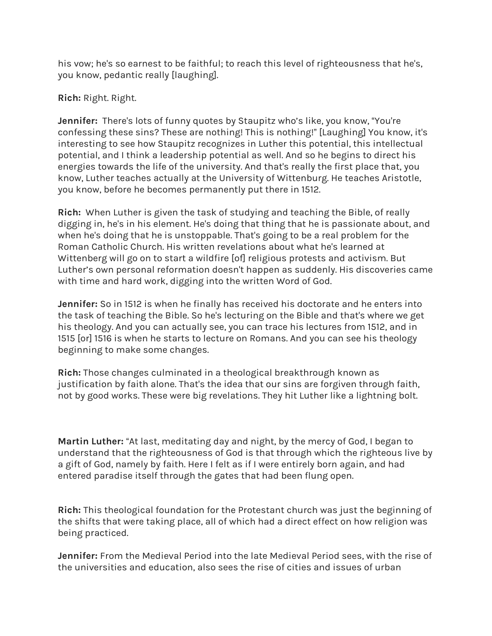his vow; he's so earnest to be faithful; to reach this level of righteousness that he's, you know, pedantic really [laughing].

**Rich:** Right. Right.

**Jennifer:** There's lots of funny quotes by Staupitz who's like, you know, "You're confessing these sins? These are nothing! This is nothing!" [Laughing] You know, it's interesting to see how Staupitz recognizes in Luther this potential, this intellectual potential, and I think a leadership potential as well. And so he begins to direct his energies towards the life of the university. And that's really the first place that, you know, Luther teaches actually at the University of Wittenburg. He teaches Aristotle, you know, before he becomes permanently put there in 1512.

**Rich:** When Luther is given the task of studying and teaching the Bible, of really digging in, he's in his element. He's doing that thing that he is passionate about, and when he's doing that he is unstoppable. That's going to be a real problem for the Roman Catholic Church. His written revelations about what he's learned at Wittenberg will go on to start a wildfire [of] religious protests and activism. But Luther's own personal reformation doesn't happen as suddenly. His discoveries came with time and hard work, digging into the written Word of God.

**Jennifer:** So in 1512 is when he finally has received his doctorate and he enters into the task of teaching the Bible. So he's lecturing on the Bible and that's where we get his theology. And you can actually see, you can trace his lectures from 1512, and in 1515 [or] 1516 is when he starts to lecture on Romans. And you can see his theology beginning to make some changes.

**Rich:** Those changes culminated in a theological breakthrough known as justification by faith alone. That's the idea that our sins are forgiven through faith, not by good works. These were big revelations. They hit Luther like a lightning bolt.

**Martin Luther:** "At last, meditating day and night, by the mercy of God, I began to understand that the righteousness of God is that through which the righteous live by a gift of God, namely by faith. Here I felt as if I were entirely born again, and had entered paradise itself through the gates that had been flung open.

**Rich:** This theological foundation for the Protestant church was just the beginning of the shifts that were taking place, all of which had a direct effect on how religion was being practiced.

**Jennifer:** From the Medieval Period into the late Medieval Period sees, with the rise of the universities and education, also sees the rise of cities and issues of urban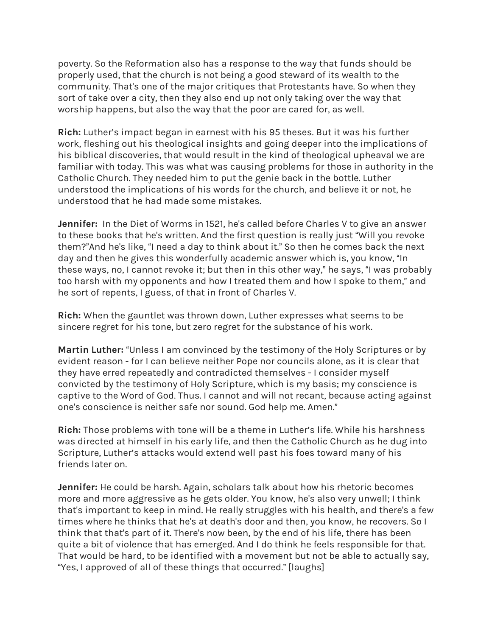poverty. So the Reformation also has a response to the way that funds should be properly used, that the church is not being a good steward of its wealth to the community. That's one of the major critiques that Protestants have. So when they sort of take over a city, then they also end up not only taking over the way that worship happens, but also the way that the poor are cared for, as well.

**Rich:** Luther's impact began in earnest with his 95 theses. But it was his further work, fleshing out his theological insights and going deeper into the implications of his biblical discoveries, that would result in the kind of theological upheaval we are familiar with today. This was what was causing problems for those in authority in the Catholic Church. They needed him to put the genie back in the bottle. Luther understood the implications of his words for the church, and believe it or not, he understood that he had made some mistakes.

**Jennifer:** In the Diet of Worms in 1521, he's called before Charles V to give an answer to these books that he's written. And the first question is really just "Will you revoke them?"And he's like, "I need a day to think about it." So then he comes back the next day and then he gives this wonderfully academic answer which is, you know, "In these ways, no, I cannot revoke it; but then in this other way," he says, "I was probably too harsh with my opponents and how I treated them and how I spoke to them," and he sort of repents, I guess, of that in front of Charles V.

**Rich:** When the gauntlet was thrown down, Luther expresses what seems to be sincere regret for his tone, but zero regret for the substance of his work.

**Martin Luther:** "Unless I am convinced by the testimony of the Holy Scriptures or by evident reason - for I can believe neither Pope nor councils alone, as it is clear that they have erred repeatedly and contradicted themselves - I consider myself convicted by the testimony of Holy Scripture, which is my basis; my conscience is captive to the Word of God. Thus. I cannot and will not recant, because acting against one's conscience is neither safe nor sound. God help me. Amen."

**Rich:** Those problems with tone will be a theme in Luther's life. While his harshness was directed at himself in his early life, and then the Catholic Church as he dug into Scripture, Luther's attacks would extend well past his foes toward many of his friends later on.

**Jennifer:** He could be harsh. Again, scholars talk about how his rhetoric becomes more and more aggressive as he gets older. You know, he's also very unwell; I think that's important to keep in mind. He really struggles with his health, and there's a few times where he thinks that he's at death's door and then, you know, he recovers. So I think that that's part of it. There's now been, by the end of his life, there has been quite a bit of violence that has emerged. And I do think he feels responsible for that. That would be hard, to be identified with a movement but not be able to actually say, "Yes, I approved of all of these things that occurred." [laughs]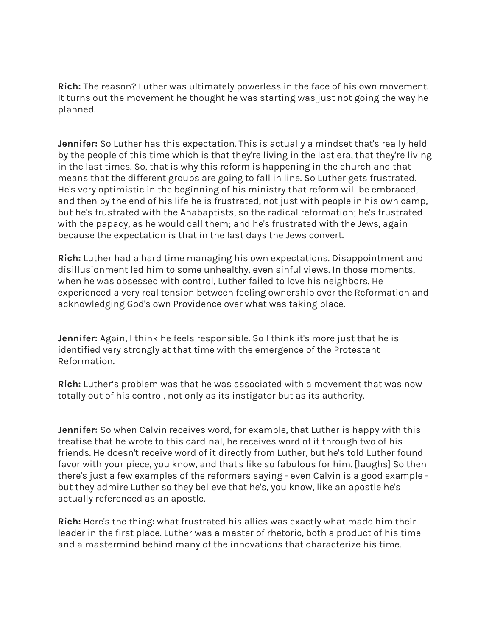**Rich:** The reason? Luther was ultimately powerless in the face of his own movement. It turns out the movement he thought he was starting was just not going the way he planned.

**Jennifer:** So Luther has this expectation. This is actually a mindset that's really held by the people of this time which is that they're living in the last era, that they're living in the last times. So, that is why this reform is happening in the church and that means that the different groups are going to fall in line. So Luther gets frustrated. He's very optimistic in the beginning of his ministry that reform will be embraced, and then by the end of his life he is frustrated, not just with people in his own camp, but he's frustrated with the Anabaptists, so the radical reformation; he's frustrated with the papacy, as he would call them; and he's frustrated with the Jews, again because the expectation is that in the last days the Jews convert.

**Rich:** Luther had a hard time managing his own expectations. Disappointment and disillusionment led him to some unhealthy, even sinful views. In those moments, when he was obsessed with control, Luther failed to love his neighbors. He experienced a very real tension between feeling ownership over the Reformation and acknowledging God's own Providence over what was taking place.

**Jennifer:** Again, I think he feels responsible. So I think it's more just that he is identified very strongly at that time with the emergence of the Protestant Reformation.

**Rich:** Luther's problem was that he was associated with a movement that was now totally out of his control, not only as its instigator but as its authority.

**Jennifer:** So when Calvin receives word, for example, that Luther is happy with this treatise that he wrote to this cardinal, he receives word of it through two of his friends. He doesn't receive word of it directly from Luther, but he's told Luther found favor with your piece, you know, and that's like so fabulous for him. [laughs] So then there's just a few examples of the reformers saying - even Calvin is a good example but they admire Luther so they believe that he's, you know, like an apostle he's actually referenced as an apostle.

**Rich:** Here's the thing: what frustrated his allies was exactly what made him their leader in the first place. Luther was a master of rhetoric, both a product of his time and a mastermind behind many of the innovations that characterize his time.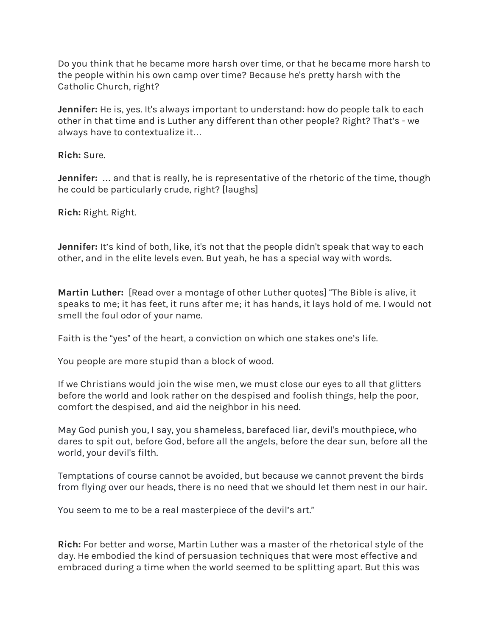Do you think that he became more harsh over time, or that he became more harsh to the people within his own camp over time? Because he's pretty harsh with the Catholic Church, right?

**Jennifer:** He is, yes. It's always important to understand: how do people talk to each other in that time and is Luther any different than other people? Right? That's - we always have to contextualize it…

**Rich:** Sure.

**Jennifer:** … and that is really, he is representative of the rhetoric of the time, though he could be particularly crude, right? [laughs]

**Rich:** Right. Right.

**Jennifer:** It's kind of both, like, it's not that the people didn't speak that way to each other, and in the elite levels even. But yeah, he has a special way with words.

**Martin Luther:** [Read over a montage of other Luther quotes] "The Bible is alive, it speaks to me; it has feet, it runs after me; it has hands, it lays hold of me. I would not smell the foul odor of your name.

Faith is the "yes" of the heart, a conviction on which one stakes one's life.

You people are more stupid than a block of wood.

If we Christians would join the wise men, we must close our eyes to all that glitters before the world and look rather on the despised and foolish things, help the poor, comfort the despised, and aid the neighbor in his need.

May God punish you, I say, you shameless, barefaced liar, devil's mouthpiece, who dares to spit out, before God, before all the angels, before the dear sun, before all the world, your devil's filth.

Temptations of course cannot be avoided, but because we cannot prevent the birds from flying over our heads, there is no need that we should let them nest in our hair.

You seem to me to be a real masterpiece of the devil's art."

**Rich:** For better and worse, Martin Luther was a master of the rhetorical style of the day. He embodied the kind of persuasion techniques that were most effective and embraced during a time when the world seemed to be splitting apart. But this was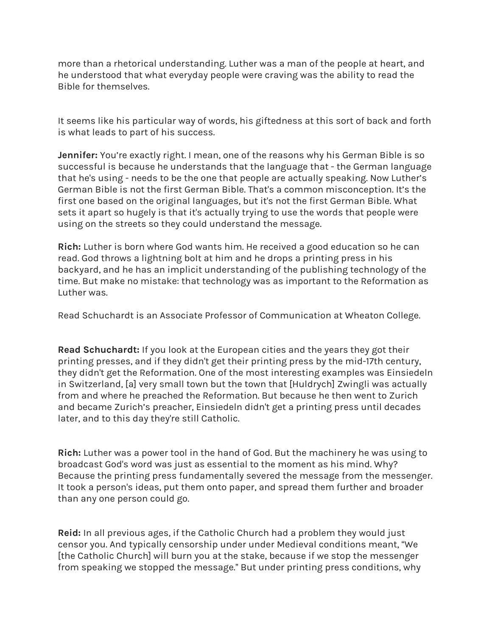more than a rhetorical understanding. Luther was a man of the people at heart, and he understood that what everyday people were craving was the ability to read the Bible for themselves.

It seems like his particular way of words, his giftedness at this sort of back and forth is what leads to part of his success.

**Jennifer:** You're exactly right. I mean, one of the reasons why his German Bible is so successful is because he understands that the language that - the German language that he's using - needs to be the one that people are actually speaking. Now Luther's German Bible is not the first German Bible. That's a common misconception. It's the first one based on the original languages, but it's not the first German Bible. What sets it apart so hugely is that it's actually trying to use the words that people were using on the streets so they could understand the message.

**Rich:** Luther is born where God wants him. He received a good education so he can read. God throws a lightning bolt at him and he drops a printing press in his backyard, and he has an implicit understanding of the publishing technology of the time. But make no mistake: that technology was as important to the Reformation as Luther was.

Read Schuchardt is an Associate Professor of Communication at Wheaton College.

**Read Schuchardt:** If you look at the European cities and the years they got their printing presses, and if they didn't get their printing press by the mid-17th century, they didn't get the Reformation. One of the most interesting examples was Einsiedeln in Switzerland, [a] very small town but the town that [Huldrych] Zwingli was actually from and where he preached the Reformation. But because he then went to Zurich and became Zurich's preacher, Einsiedeln didn't get a printing press until decades later, and to this day they're still Catholic.

**Rich:** Luther was a power tool in the hand of God. But the machinery he was using to broadcast God's word was just as essential to the moment as his mind. Why? Because the printing press fundamentally severed the message from the messenger. It took a person's ideas, put them onto paper, and spread them further and broader than any one person could go.

**Reid:** In all previous ages, if the Catholic Church had a problem they would just censor you. And typically censorship under under Medieval conditions meant, "We [the Catholic Church] will burn you at the stake, because if we stop the messenger from speaking we stopped the message." But under printing press conditions, why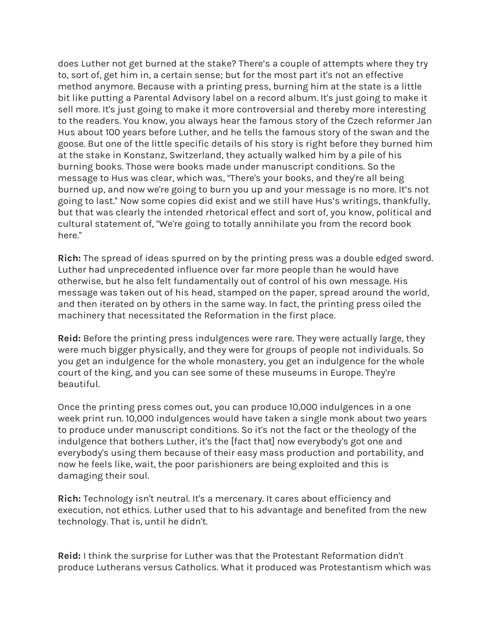does Luther not get burned at the stake? There's a couple of attempts where they try to, sort of, get him in, a certain sense; but for the most part it's not an effective method anymore. Because with a printing press, burning him at the state is a little bit like putting a Parental Advisory label on a record album. It's just going to make it sell more. It's just going to make it more controversial and thereby more interesting to the readers. You know, you always hear the famous story of the Czech reformer Jan Hus about 100 years before Luther, and he tells the famous story of the swan and the goose. But one of the little specific details of his story is right before they burned him at the stake in Konstanz, Switzerland, they actually walked him by a pile of his burning books. Those were books made under manuscript conditions. So the message to Hus was clear, which was, "There's your books, and they're all being burned up, and now we're going to burn you up and your message is no more. It's not going to last." Now some copies did exist and we still have Hus's writings, thankfully, but that was clearly the intended rhetorical effect and sort of, you know, political and cultural statement of, "We're going to totally annihilate you from the record book here."

**Rich:** The spread of ideas spurred on by the printing press was a double edged sword. Luther had unprecedented influence over far more people than he would have otherwise, but he also felt fundamentally out of control of his own message. His message was taken out of his head, stamped on the paper, spread around the world, and then iterated on by others in the same way. In fact, the printing press oiled the machinery that necessitated the Reformation in the first place.

**Reid:** Before the printing press indulgences were rare. They were actually large, they were much bigger physically, and they were for groups of people not individuals. So you get an indulgence for the whole monastery, you get an indulgence for the whole court of the king, and you can see some of these museums in Europe. They're beautiful.

Once the printing press comes out, you can produce 10,000 indulgences in a one week print run. 10,000 indulgences would have taken a single monk about two years to produce under manuscript conditions. So it's not the fact or the theology of the indulgence that bothers Luther, it's the [fact that] now everybody's got one and everybody's using them because of their easy mass production and portability, and now he feels like, wait, the poor parishioners are being exploited and this is damaging their soul.

**Rich:** Technology isn't neutral. It's a mercenary. It cares about efficiency and execution, not ethics. Luther used that to his advantage and benefited from the new technology. That is, until he didn't.

**Reid:** I think the surprise for Luther was that the Protestant Reformation didn't produce Lutherans versus Catholics. What it produced was Protestantism which was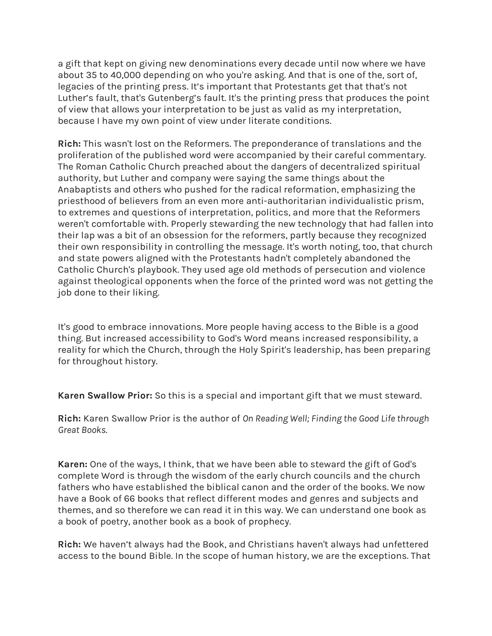a gift that kept on giving new denominations every decade until now where we have about 35 to 40,000 depending on who you're asking. And that is one of the, sort of, legacies of the printing press. It's important that Protestants get that that's not Luther's fault, that's Gutenberg's fault. It's the printing press that produces the point of view that allows your interpretation to be just as valid as my interpretation, because I have my own point of view under literate conditions.

**Rich:** This wasn't lost on the Reformers. The preponderance of translations and the proliferation of the published word were accompanied by their careful commentary. The Roman Catholic Church preached about the dangers of decentralized spiritual authority, but Luther and company were saying the same things about the Anabaptists and others who pushed for the radical reformation, emphasizing the priesthood of believers from an even more anti-authoritarian individualistic prism, to extremes and questions of interpretation, politics, and more that the Reformers weren't comfortable with. Properly stewarding the new technology that had fallen into their lap was a bit of an obsession for the reformers, partly because they recognized their own responsibility in controlling the message. It's worth noting, too, that church and state powers aligned with the Protestants hadn't completely abandoned the Catholic Church's playbook. They used age old methods of persecution and violence against theological opponents when the force of the printed word was not getting the job done to their liking.

It's good to embrace innovations. More people having access to the Bible is a good thing. But increased accessibility to God's Word means increased responsibility, a reality for which the Church, through the Holy Spirit's leadership, has been preparing for throughout history.

**Karen Swallow Prior:** So this is a special and important gift that we must steward.

**Rich:** Karen Swallow Prior is the author of *On Reading Well; Finding the Good Life through Great Books*.

**Karen:** One of the ways, I think, that we have been able to steward the gift of God's complete Word is through the wisdom of the early church councils and the church fathers who have established the biblical canon and the order of the books. We now have a Book of 66 books that reflect different modes and genres and subjects and themes, and so therefore we can read it in this way. We can understand one book as a book of poetry, another book as a book of prophecy.

**Rich:** We haven't always had the Book, and Christians haven't always had unfettered access to the bound Bible. In the scope of human history, we are the exceptions. That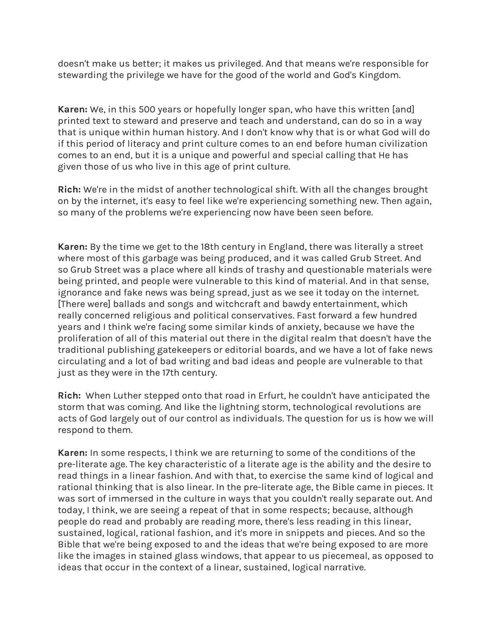doesn't make us better; it makes us privileged. And that means we're responsible for stewarding the privilege we have for the good of the world and God's Kingdom.

**Karen:** We, in this 500 years or hopefully longer span, who have this written [and] printed text to steward and preserve and teach and understand, can do so in a way that is unique within human history. And I don't know why that is or what God will do if this period of literacy and print culture comes to an end before human civilization comes to an end, but it is a unique and powerful and special calling that He has given those of us who live in this age of print culture.

**Rich:** We're in the midst of another technological shift. With all the changes brought on by the internet, it's easy to feel like we're experiencing something new. Then again, so many of the problems we're experiencing now have been seen before.

**Karen:** By the time we get to the 18th century in England, there was literally a street where most of this garbage was being produced, and it was called Grub Street. And so Grub Street was a place where all kinds of trashy and questionable materials were being printed, and people were vulnerable to this kind of material. And in that sense, ignorance and fake news was being spread, just as we see it today on the internet. [There were] ballads and songs and witchcraft and bawdy entertainment, which really concerned religious and political conservatives. Fast forward a few hundred years and I think we're facing some similar kinds of anxiety, because we have the proliferation of all of this material out there in the digital realm that doesn't have the traditional publishing gatekeepers or editorial boards, and we have a lot of fake news circulating and a lot of bad writing and bad ideas and people are vulnerable to that just as they were in the 17th century.

**Rich:** When Luther stepped onto that road in Erfurt, he couldn't have anticipated the storm that was coming. And like the lightning storm, technological revolutions are acts of God largely out of our control as individuals. The question for us is how we will respond to them.

**Karen:** In some respects, I think we are returning to some of the conditions of the pre-literate age. The key characteristic of a literate age is the ability and the desire to read things in a linear fashion. And with that, to exercise the same kind of logical and rational thinking that is also linear. In the pre-literate age, the Bible came in pieces. It was sort of immersed in the culture in ways that you couldn't really separate out. And today, I think, we are seeing a repeat of that in some respects; because, although people do read and probably are reading more, there's less reading in this linear, sustained, logical, rational fashion, and it's more in snippets and pieces. And so the Bible that we're being exposed to and the ideas that we're being exposed to are more like the images in stained glass windows, that appear to us piecemeal, as opposed to ideas that occur in the context of a linear, sustained, logical narrative.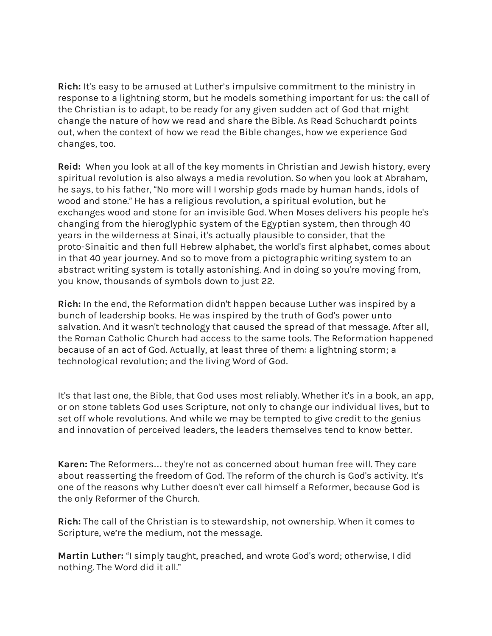**Rich:** It's easy to be amused at Luther's impulsive commitment to the ministry in response to a lightning storm, but he models something important for us: the call of the Christian is to adapt, to be ready for any given sudden act of God that might change the nature of how we read and share the Bible. As Read Schuchardt points out, when the context of how we read the Bible changes, how we experience God changes, too.

**Reid:** When you look at all of the key moments in Christian and Jewish history, every spiritual revolution is also always a media revolution. So when you look at Abraham, he says, to his father, "No more will I worship gods made by human hands, idols of wood and stone." He has a religious revolution, a spiritual evolution, but he exchanges wood and stone for an invisible God. When Moses delivers his people he's changing from the hieroglyphic system of the Egyptian system, then through 40 years in the wilderness at Sinai, it's actually plausible to consider, that the proto-Sinaitic and then full Hebrew alphabet, the world's first alphabet, comes about in that 40 year journey. And so to move from a pictographic writing system to an abstract writing system is totally astonishing. And in doing so you're moving from, you know, thousands of symbols down to just 22.

**Rich:** In the end, the Reformation didn't happen because Luther was inspired by a bunch of leadership books. He was inspired by the truth of God's power unto salvation. And it wasn't technology that caused the spread of that message. After all, the Roman Catholic Church had access to the same tools. The Reformation happened because of an act of God. Actually, at least three of them: a lightning storm; a technological revolution; and the living Word of God.

It's that last one, the Bible, that God uses most reliably. Whether it's in a book, an app, or on stone tablets God uses Scripture, not only to change our individual lives, but to set off whole revolutions. And while we may be tempted to give credit to the genius and innovation of perceived leaders, the leaders themselves tend to know better.

**Karen:** The Reformers… they're not as concerned about human free will. They care about reasserting the freedom of God. The reform of the church is God's activity. It's one of the reasons why Luther doesn't ever call himself a Reformer, because God is the only Reformer of the Church.

**Rich:** The call of the Christian is to stewardship, not ownership. When it comes to Scripture, we're the medium, not the message.

**Martin Luther:** "I simply taught, preached, and wrote God's word; otherwise, I did nothing. The Word did it all."